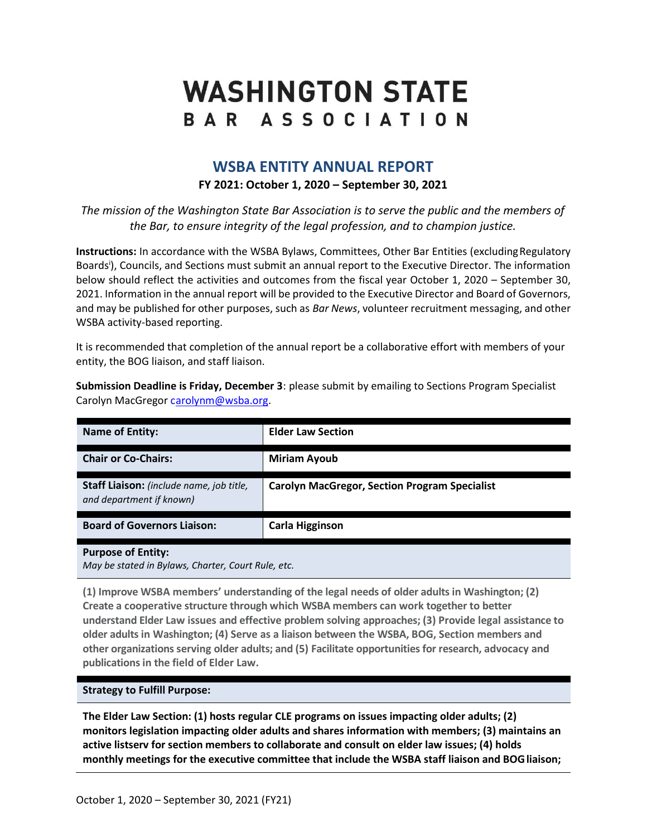# **WASHINGTON STATE** BAR ASSOCIATION

# **WSBA ENTITY ANNUAL REPORT**

## **FY 2021: October 1, 2020 – September 30, 2021**

*The mission of the Washington State Bar Association is to serve the public and the members of the Bar, to ensure integrity of the legal profession, and to champion justice.*

**Instructions:** In accordance with the WSBA Bylaws, Committees, Other Bar Entities (excluding Regulatory Boards<sup>i</sup>), Councils, and Sections must submit an annual report to the Executive Director. The information below should reflect the activities and outcomes from the fiscal year October 1, 2020 – September 30, 2021. Information in the annual report will be provided to the Executive Director and Board of Governors, and may be published for other purposes, such as *Bar News*, volunteer recruitment messaging, and other WSBA activity-based reporting.

It is recommended that completion of the annual report be a collaborative effort with members of your entity, the BOG liaison, and staff liaison.

**Submission Deadline is Friday, December 3**: please submit by emailing to Sections Program Specialist Carolyn MacGregor [carolynm@wsba.org.](mailto:arolynm@wsba.org)

| <b>Name of Entity:</b>                                               | <b>Elder Law Section</b>                             |  |
|----------------------------------------------------------------------|------------------------------------------------------|--|
| <b>Chair or Co-Chairs:</b>                                           | <b>Miriam Ayoub</b>                                  |  |
| Staff Liaison: (include name, job title,<br>and department if known) | <b>Carolyn MacGregor, Section Program Specialist</b> |  |
| <b>Board of Governors Liaison:</b>                                   | <b>Carla Higginson</b>                               |  |
| <b>Purpose of Entity:</b>                                            |                                                      |  |

*May be stated in Bylaws, Charter, Court Rule, etc.*

**(1) Improve WSBA members' understanding of the legal needs of older adults in Washington; (2) Create a cooperative structure through which WSBA members can work together to better understand Elder Law issues and effective problem solving approaches; (3) Provide legal assistance to older adults in Washington; (4) Serve as a liaison between the WSBA, BOG, Section members and other organizations serving older adults; and (5) Facilitate opportunities for research, advocacy and publications in the field of Elder Law.**

#### **Strategy to Fulfill Purpose:**

**The Elder Law Section: (1) hosts regular CLE programs on issues impacting older adults; (2) monitors legislation impacting older adults and shares information with members; (3) maintains an active listserv for section members to collaborate and consult on elder law issues; (4) holds monthly meetings for the executive committee that include the WSBA staff liaison and BOGliaison;**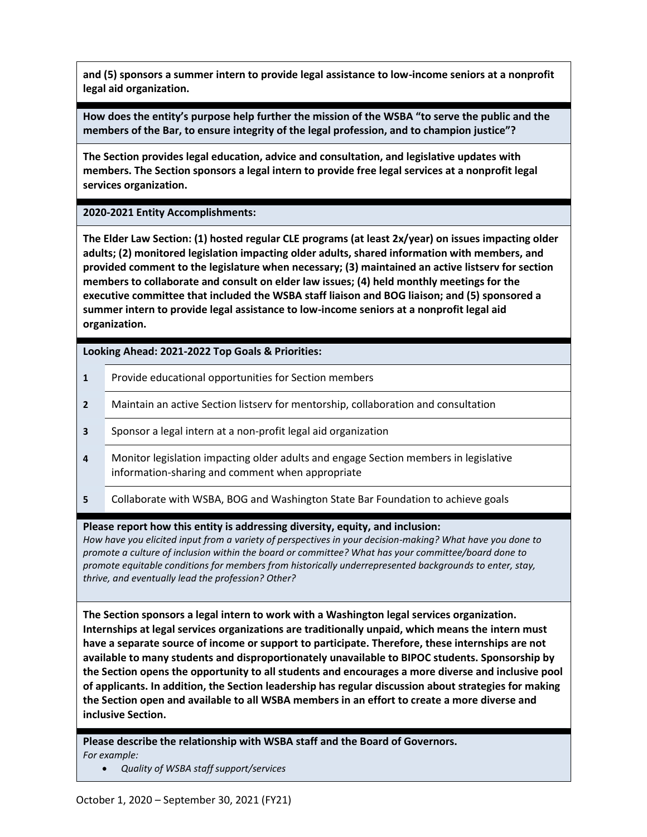**and (5) sponsors a summer intern to provide legal assistance to low-income seniors at a nonprofit legal aid organization.**

**How does the entity's purpose help further the mission of the WSBA "to serve the public and the members of the Bar, to ensure integrity of the legal profession, and to champion justice"?**

**The Section provides legal education, advice and consultation, and legislative updates with members. The Section sponsors a legal intern to provide free legal services at a nonprofit legal services organization.**

**2020-2021 Entity Accomplishments:**

**The Elder Law Section: (1) hosted regular CLE programs (at least 2x/year) on issues impacting older adults; (2) monitored legislation impacting older adults, shared information with members, and provided comment to the legislature when necessary; (3) maintained an active listserv for section members to collaborate and consult on elder law issues; (4) held monthly meetings for the executive committee that included the WSBA staff liaison and BOG liaison; and (5) sponsored a summer intern to provide legal assistance to low-income seniors at a nonprofit legal aid organization.**

**Looking Ahead: 2021-2022 Top Goals & Priorities:**

- **1** Provide educational opportunities for Section members
- **2** Maintain an active Section listserv for mentorship, collaboration and consultation
- **3** Sponsor a legal intern at a non-profit legal aid organization
- **4** Monitor legislation impacting older adults and engage Section members in legislative information-sharing and comment when appropriate
- **5** Collaborate with WSBA, BOG and Washington State Bar Foundation to achieve goals

**Please report how this entity is addressing diversity, equity, and inclusion:**

*How have you elicited input from a variety of perspectives in your decision-making? What have you done to promote a culture of inclusion within the board or committee? What has your committee/board done to promote equitable conditions for members from historically underrepresented backgrounds to enter, stay, thrive, and eventually lead the profession? Other?*

**The Section sponsors a legal intern to work with a Washington legal services organization. Internships at legal services organizations are traditionally unpaid, which means the intern must have a separate source of income or support to participate. Therefore, these internships are not available to many students and disproportionately unavailable to BIPOC students. Sponsorship by the Section opens the opportunity to all students and encourages a more diverse and inclusive pool of applicants. In addition, the Section leadership has regular discussion about strategies for making the Section open and available to all WSBA members in an effort to create a more diverse and inclusive Section.**

**Please describe the relationship with WSBA staff and the Board of Governors.** *For example:*

• *Quality of WSBA staff support/services*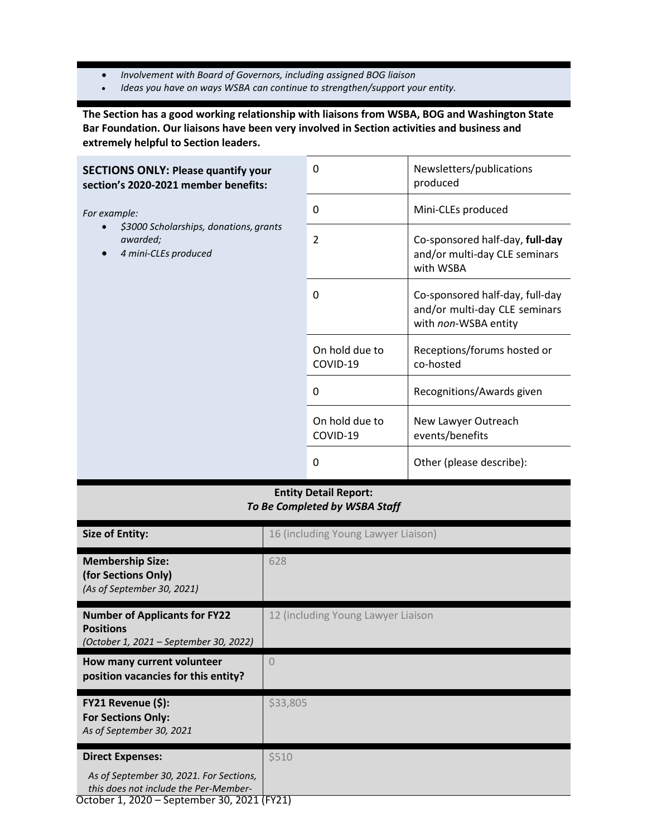- *Involvement with Board of Governors, including assigned BOG liaison*
- *Ideas you have on ways WSBA can continue to strengthen/support your entity.*

**The Section has a good working relationship with liaisons from WSBA, BOG and Washington State Bar Foundation. Our liaisons have been very involved in Section activities and business and extremely helpful to Section leaders.**

| <b>SECTIONS ONLY: Please quantify your</b><br>section's 2020-2021 member benefits:         | $\Omega$                   | Newsletters/publications<br>produced                                                     |
|--------------------------------------------------------------------------------------------|----------------------------|------------------------------------------------------------------------------------------|
| For example:<br>\$3000 Scholarships, donations, grants<br>awarded;<br>4 mini-CLEs produced | 0                          | Mini-CLEs produced                                                                       |
|                                                                                            | $\overline{2}$             | Co-sponsored half-day, full-day<br>and/or multi-day CLE seminars<br>with WSBA            |
|                                                                                            | $\Omega$                   | Co-sponsored half-day, full-day<br>and/or multi-day CLE seminars<br>with non-WSBA entity |
|                                                                                            | On hold due to<br>COVID-19 | Receptions/forums hosted or<br>co-hosted                                                 |
|                                                                                            | $\Omega$                   | Recognitions/Awards given                                                                |
|                                                                                            | On hold due to<br>COVID-19 | New Lawyer Outreach<br>events/benefits                                                   |
|                                                                                            | 0                          | Other (please describe):                                                                 |

### **Entity Detail Report:** *To Be Completed by WSBA Staff*

| <b>Size of Entity:</b>                                                                             | 16 (including Young Lawyer Liaison) |
|----------------------------------------------------------------------------------------------------|-------------------------------------|
| <b>Membership Size:</b><br>(for Sections Only)<br>(As of September 30, 2021)                       | 628                                 |
| <b>Number of Applicants for FY22</b><br><b>Positions</b><br>(October 1, 2021 – September 30, 2022) | 12 (including Young Lawyer Liaison  |
| How many current volunteer<br>position vacancies for this entity?                                  | $\Omega$                            |
| FY21 Revenue (\$):<br><b>For Sections Only:</b><br>As of September 30, 2021                        | \$33,805                            |
| <b>Direct Expenses:</b>                                                                            | \$510                               |
| As of September 30, 2021. For Sections,<br>this does not include the Per-Member-                   |                                     |
| October 1, 2020 – September 30, 2021 (FY21)                                                        |                                     |